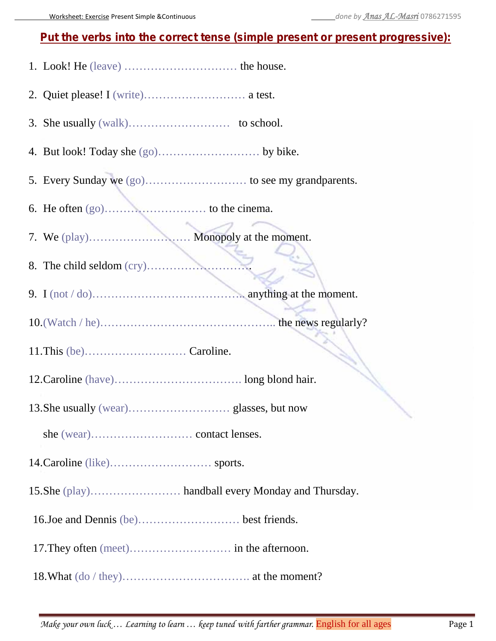## **Put the verbs into the correct tense (simple present or present progressive):**

- 1. Look! He (leave) ………………………… the house.
- 2. Quiet please! I (write)……………………… a test.
- 3. She usually (walk)……………………… to school.
- 4. But look! Today she (go)……………………… by bike.
- 5. Every Sunday we (go)……………………… to see my grandparents.
- 6. He often (go)……………………… to the cinema.
- 7. We (play)……………………… Monopoly at the moment.
- 8. The child seldom (cry)……………………….
- 9. I (not  $/$  do)…………………………………………… anything at the moment.
- 10.(Watch / he)……………………………………….. the news regularly?
- 11.This (be)……………………… Caroline.
- 12.Caroline (have)……………………………. long blond hair.
- 13.She usually (wear)……………………… glasses, but now
	- she (wear)……………………… contact lenses.
- 14.Caroline (like)……………………… sports.
- 15.She (play)…………………… handball every Monday and Thursday.
- 16.Joe and Dennis (be)……………………… best friends.
- 17.They often (meet)……………………… in the afternoon.
- 18.What (do / they)……………………………. at the moment?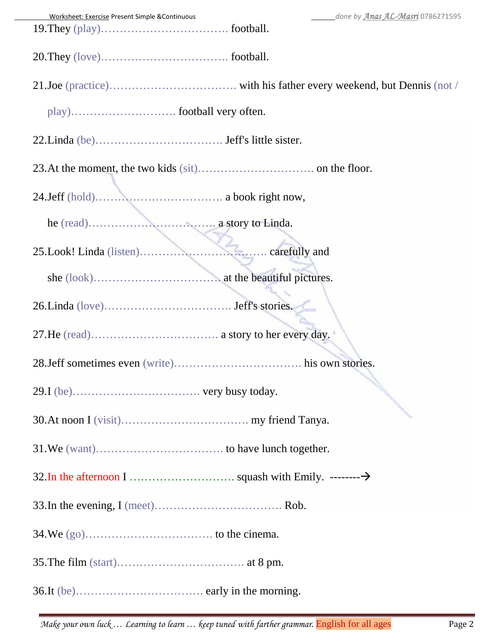| done by Anas AL-Masri 0786271595<br>Worksheet: Exercise Present Simple & Continuous |
|-------------------------------------------------------------------------------------|
|                                                                                     |
|                                                                                     |
|                                                                                     |
|                                                                                     |
|                                                                                     |
|                                                                                     |
|                                                                                     |
|                                                                                     |
|                                                                                     |
|                                                                                     |
|                                                                                     |
|                                                                                     |
|                                                                                     |
|                                                                                     |
|                                                                                     |
|                                                                                     |
|                                                                                     |
|                                                                                     |
|                                                                                     |
|                                                                                     |
|                                                                                     |